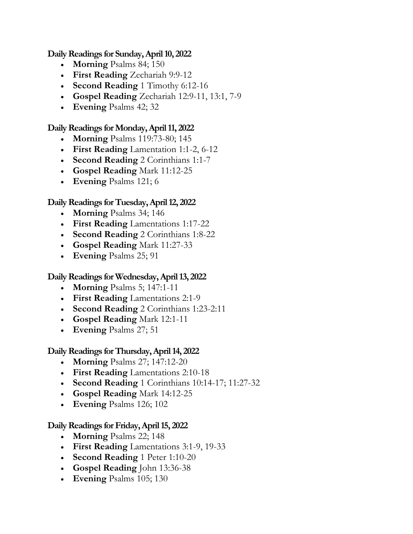### **Daily Readings for Sunday, April 10, 2022**

- **Morning** [Psalms 84; 150](https://www.presbyterianmission.org/devotion/daily/2022/4/10/#morning)
- **First Reading** [Zechariah 9:9-12](https://www.presbyterianmission.org/devotion/daily/2022/4/10/#first-reading)
- **Second Reading** [1 Timothy 6:12-16](https://www.presbyterianmission.org/devotion/daily/2022/4/10/#second-reading)
- **Gospel Reading** [Zechariah 12:9-11, 13:1, 7-9](https://www.presbyterianmission.org/devotion/daily/2022/4/10/#gospel-reading)
- **Evening** [Psalms 42; 32](https://www.presbyterianmission.org/devotion/daily/2022/4/10/#evening)

### **Daily Readings forMonday, April 11, 2022**

- **Morning** [Psalms 119:73-80; 145](https://www.presbyterianmission.org/devotion/daily/2022/4/11/#morning)
- **First Reading** [Lamentation 1:1-2, 6-12](https://www.presbyterianmission.org/devotion/daily/2022/4/11/#first-reading)
- **Second Reading** [2 Corinthians 1:1-7](https://www.presbyterianmission.org/devotion/daily/2022/4/11/#second-reading)
- **[Gospel Reading](https://www.presbyterianmission.org/devotion/daily/2022/4/11/#gospel-reading)** Mark 11:12-25
- **Evening** [Psalms 121; 6](https://www.presbyterianmission.org/devotion/daily/2022/4/11/#evening)

# **Daily Readings forTuesday, April 12, 2022**

- **Morning** [Psalms 34; 146](https://www.presbyterianmission.org/devotion/daily/2022/4/12/#morning)
- **First Reading** [Lamentations 1:17-22](https://www.presbyterianmission.org/devotion/daily/2022/4/12/#first-reading)
- **Second Reading** [2 Corinthians 1:8-22](https://www.presbyterianmission.org/devotion/daily/2022/4/12/#second-reading)
- **[Gospel Reading](https://www.presbyterianmission.org/devotion/daily/2022/4/12/#gospel-reading)** Mark 11:27-33
- **Evening** [Psalms 25; 91](https://www.presbyterianmission.org/devotion/daily/2022/4/12/#evening)

# **Daily Readings forWednesday, April 13, 2022**

- **Morning** [Psalms 5; 147:1-11](https://www.presbyterianmission.org/devotion/daily/2022/4/13/#morning)
- **First Reading** [Lamentations 2:1-9](https://www.presbyterianmission.org/devotion/daily/2022/4/13/#first-reading)
- **Second Reading** [2 Corinthians 1:23-2:11](https://www.presbyterianmission.org/devotion/daily/2022/4/13/#second-reading)
- **[Gospel Reading](https://www.presbyterianmission.org/devotion/daily/2022/4/13/#gospel-reading)** Mark 12:1-11
- **Evening** [Psalms 27; 51](https://www.presbyterianmission.org/devotion/daily/2022/4/13/#evening)

# **Daily Readings forThursday, April 14, 2022**

- **Morning** [Psalms 27; 147:12-20](https://www.presbyterianmission.org/devotion/daily/2022/4/14/#morning)
- **First Reading** [Lamentations 2:10-18](https://www.presbyterianmission.org/devotion/daily/2022/4/14/#first-reading)
- **Second Reading** [1 Corinthians 10:14-17; 11:27-32](https://www.presbyterianmission.org/devotion/daily/2022/4/14/#second-reading)
- **[Gospel Reading](https://www.presbyterianmission.org/devotion/daily/2022/4/14/#gospel-reading)** Mark 14:12-25
- **Evening** [Psalms 126; 102](https://www.presbyterianmission.org/devotion/daily/2022/4/14/#evening)

# **Daily Readings forFriday, April 15, 2022**

- **Morning** [Psalms 22; 148](https://www.presbyterianmission.org/devotion/daily/2022/4/15/#morning)
- **First Reading** [Lamentations 3:1-9, 19-33](https://www.presbyterianmission.org/devotion/daily/2022/4/15/#first-reading)
- **[Second Reading](https://www.presbyterianmission.org/devotion/daily/2022/4/15/#second-reading)** 1 Peter 1:10-20
- **[Gospel Reading](https://www.presbyterianmission.org/devotion/daily/2022/4/15/#gospel-reading)** John 13:36-38
- **Evening** [Psalms 105; 130](https://www.presbyterianmission.org/devotion/daily/2022/4/15/#evening)